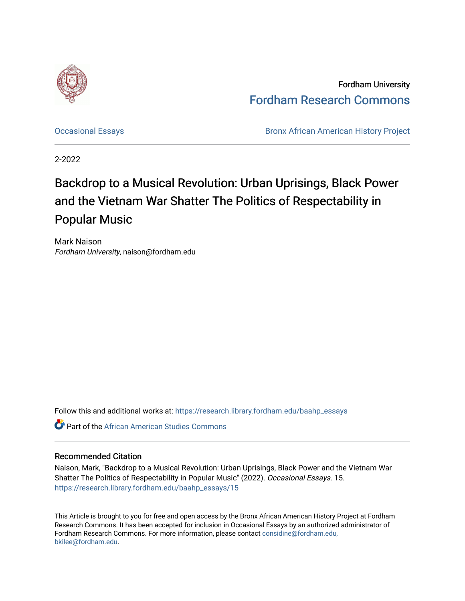

Fordham University [Fordham Research Commons](https://research.library.fordham.edu/) 

[Occasional Essays](https://research.library.fordham.edu/baahp_essays) **Bronx African American History Project** Bronx African American History Project

2-2022

## Backdrop to a Musical Revolution: Urban Uprisings, Black Power and the Vietnam War Shatter The Politics of Respectability in Popular Music

Mark Naison Fordham University, naison@fordham.edu

Follow this and additional works at: [https://research.library.fordham.edu/baahp\\_essays](https://research.library.fordham.edu/baahp_essays?utm_source=research.library.fordham.edu%2Fbaahp_essays%2F15&utm_medium=PDF&utm_campaign=PDFCoverPages) 

**C** Part of the African American Studies Commons

## Recommended Citation

Naison, Mark, "Backdrop to a Musical Revolution: Urban Uprisings, Black Power and the Vietnam War Shatter The Politics of Respectability in Popular Music" (2022). Occasional Essays. 15. [https://research.library.fordham.edu/baahp\\_essays/15](https://research.library.fordham.edu/baahp_essays/15?utm_source=research.library.fordham.edu%2Fbaahp_essays%2F15&utm_medium=PDF&utm_campaign=PDFCoverPages)

This Article is brought to you for free and open access by the Bronx African American History Project at Fordham Research Commons. It has been accepted for inclusion in Occasional Essays by an authorized administrator of Fordham Research Commons. For more information, please contact [considine@fordham.edu,](mailto:considine@fordham.edu,%20bkilee@fordham.edu) [bkilee@fordham.edu.](mailto:considine@fordham.edu,%20bkilee@fordham.edu)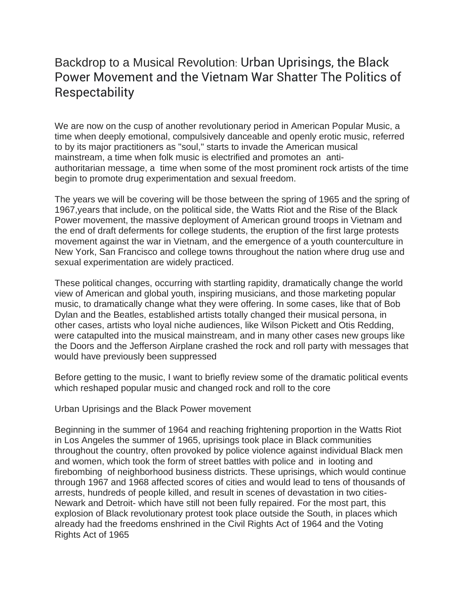## Backdrop to a Musical Revolution: Urban Uprisings, the Black Power Movement and the Vietnam War Shatter The Politics of **Respectability**

We are now on the cusp of another revolutionary period in American Popular Music, a time when deeply emotional, compulsively danceable and openly erotic music, referred to by its major practitioners as "soul," starts to invade the American musical mainstream, a time when folk music is electrified and promotes an antiauthoritarian message, a time when some of the most prominent rock artists of the time begin to promote drug experimentation and sexual freedom.

The years we will be covering will be those between the spring of 1965 and the spring of 1967,years that include, on the political side, the Watts Riot and the Rise of the Black Power movement, the massive deployment of American ground troops in Vietnam and the end of draft deferments for college students, the eruption of the first large protests movement against the war in Vietnam, and the emergence of a youth counterculture in New York, San Francisco and college towns throughout the nation where drug use and sexual experimentation are widely practiced.

These political changes, occurring with startling rapidity, dramatically change the world view of American and global youth, inspiring musicians, and those marketing popular music, to dramatically change what they were offering. In some cases, like that of Bob Dylan and the Beatles, established artists totally changed their musical persona, in other cases, artists who loyal niche audiences, like Wilson Pickett and Otis Redding, were catapulted into the musical mainstream, and in many other cases new groups like the Doors and the Jefferson Airplane crashed the rock and roll party with messages that would have previously been suppressed

Before getting to the music, I want to briefly review some of the dramatic political events which reshaped popular music and changed rock and roll to the core

Urban Uprisings and the Black Power movement

Beginning in the summer of 1964 and reaching frightening proportion in the Watts Riot in Los Angeles the summer of 1965, uprisings took place in Black communities throughout the country, often provoked by police violence against individual Black men and women, which took the form of street battles with police and in looting and firebombing of neighborhood business districts. These uprisings, which would continue through 1967 and 1968 affected scores of cities and would lead to tens of thousands of arrests, hundreds of people killed, and result in scenes of devastation in two cities-Newark and Detroit- which have still not been fully repaired. For the most part, this explosion of Black revolutionary protest took place outside the South, in places which already had the freedoms enshrined in the Civil Rights Act of 1964 and the Voting Rights Act of 1965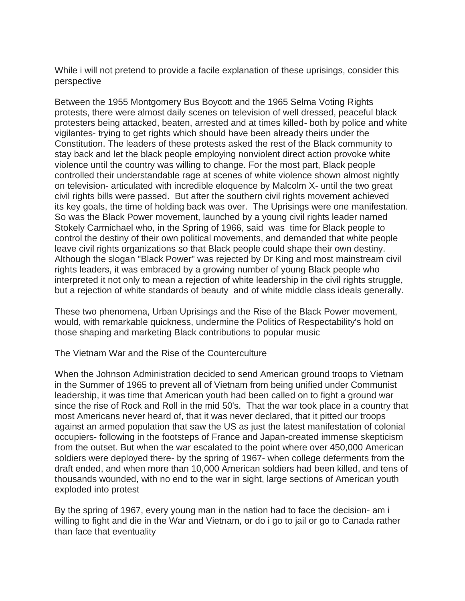While i will not pretend to provide a facile explanation of these uprisings, consider this perspective

Between the 1955 Montgomery Bus Boycott and the 1965 Selma Voting Rights protests, there were almost daily scenes on television of well dressed, peaceful black protesters being attacked, beaten, arrested and at times killed- both by police and white vigilantes- trying to get rights which should have been already theirs under the Constitution. The leaders of these protests asked the rest of the Black community to stay back and let the black people employing nonviolent direct action provoke white violence until the country was willing to change. For the most part, Black people controlled their understandable rage at scenes of white violence shown almost nightly on television- articulated with incredible eloquence by Malcolm X- until the two great civil rights bills were passed. But after the southern civil rights movement achieved its key goals, the time of holding back was over. The Uprisings were one manifestation. So was the Black Power movement, launched by a young civil rights leader named Stokely Carmichael who, in the Spring of 1966, said was time for Black people to control the destiny of their own political movements, and demanded that white people leave civil rights organizations so that Black people could shape their own destiny. Although the slogan "Black Power" was rejected by Dr King and most mainstream civil rights leaders, it was embraced by a growing number of young Black people who interpreted it not only to mean a rejection of white leadership in the civil rights struggle, but a rejection of white standards of beauty and of white middle class ideals generally.

These two phenomena, Urban Uprisings and the Rise of the Black Power movement, would, with remarkable quickness, undermine the Politics of Respectability's hold on those shaping and marketing Black contributions to popular music

The Vietnam War and the Rise of the Counterculture

When the Johnson Administration decided to send American ground troops to Vietnam in the Summer of 1965 to prevent all of Vietnam from being unified under Communist leadership, it was time that American youth had been called on to fight a ground war since the rise of Rock and Roll in the mid 50's. That the war took place in a country that most Americans never heard of, that it was never declared, that it pitted our troops against an armed population that saw the US as just the latest manifestation of colonial occupiers- following in the footsteps of France and Japan-created immense skepticism from the outset. But when the war escalated to the point where over 450,000 American soldiers were deployed there- by the spring of 1967- when college deferments from the draft ended, and when more than 10,000 American soldiers had been killed, and tens of thousands wounded, with no end to the war in sight, large sections of American youth exploded into protest

By the spring of 1967, every young man in the nation had to face the decision- am i willing to fight and die in the War and Vietnam, or do i go to jail or go to Canada rather than face that eventuality